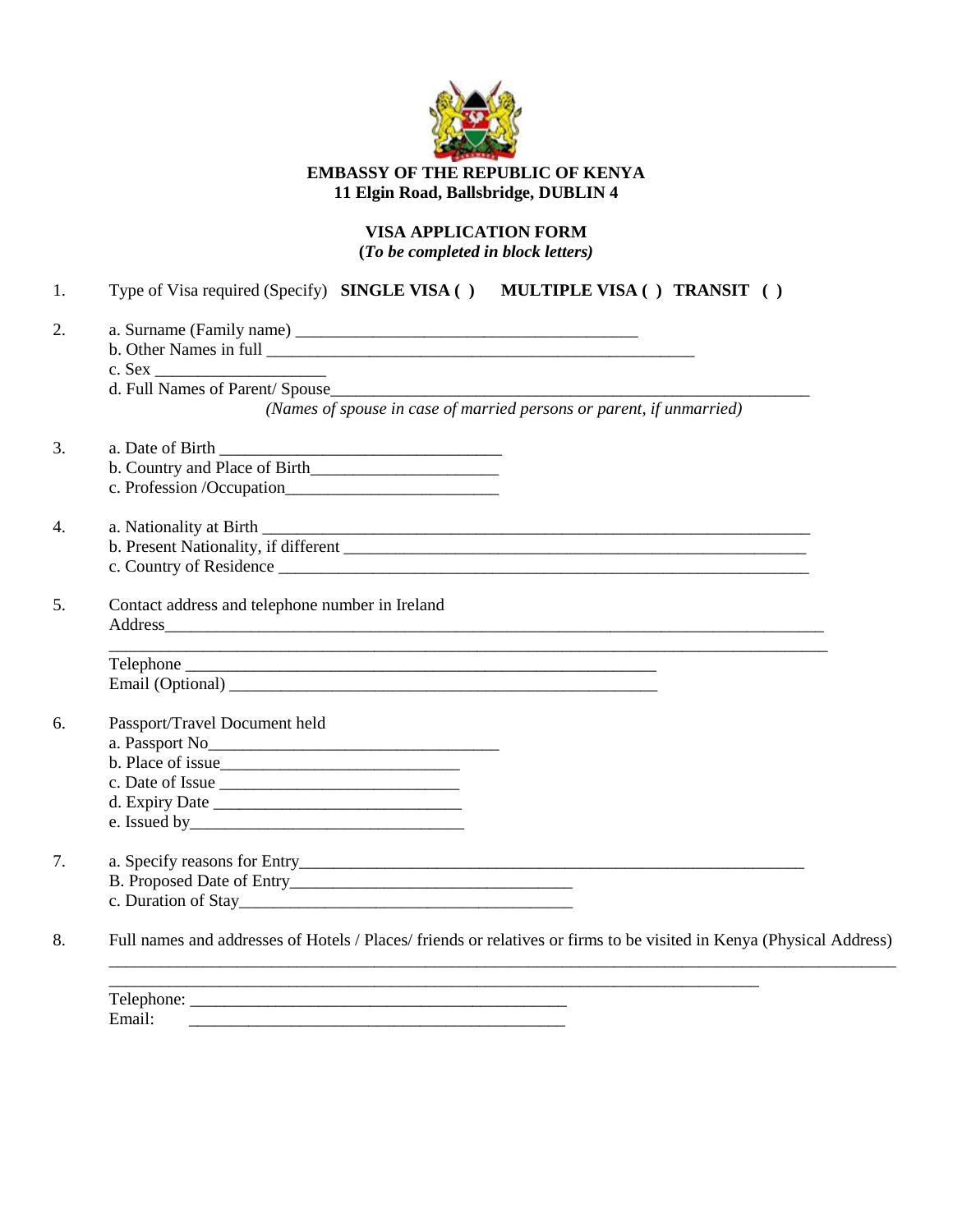

# **EMBASSY OF THE REPUBLIC OF KENYA 11 Elgin Road, Ballsbridge, DUBLIN 4**

# **VISA APPLICATION FORM (***To be completed in block letters)*

|                                                 | (Names of spouse in case of married persons or parent, if unmarried) |
|-------------------------------------------------|----------------------------------------------------------------------|
|                                                 |                                                                      |
|                                                 |                                                                      |
|                                                 |                                                                      |
|                                                 |                                                                      |
|                                                 |                                                                      |
|                                                 |                                                                      |
| Contact address and telephone number in Ireland |                                                                      |
|                                                 |                                                                      |
|                                                 |                                                                      |
|                                                 |                                                                      |
| Passport/Travel Document held                   |                                                                      |
|                                                 |                                                                      |
|                                                 |                                                                      |
|                                                 |                                                                      |
|                                                 |                                                                      |
|                                                 |                                                                      |
|                                                 |                                                                      |
|                                                 |                                                                      |
|                                                 |                                                                      |
|                                                 |                                                                      |

Email: \_\_\_\_\_\_\_\_\_\_\_\_\_\_\_\_\_\_\_\_\_\_\_\_\_\_\_\_\_\_\_\_\_\_\_\_\_\_\_\_\_\_\_\_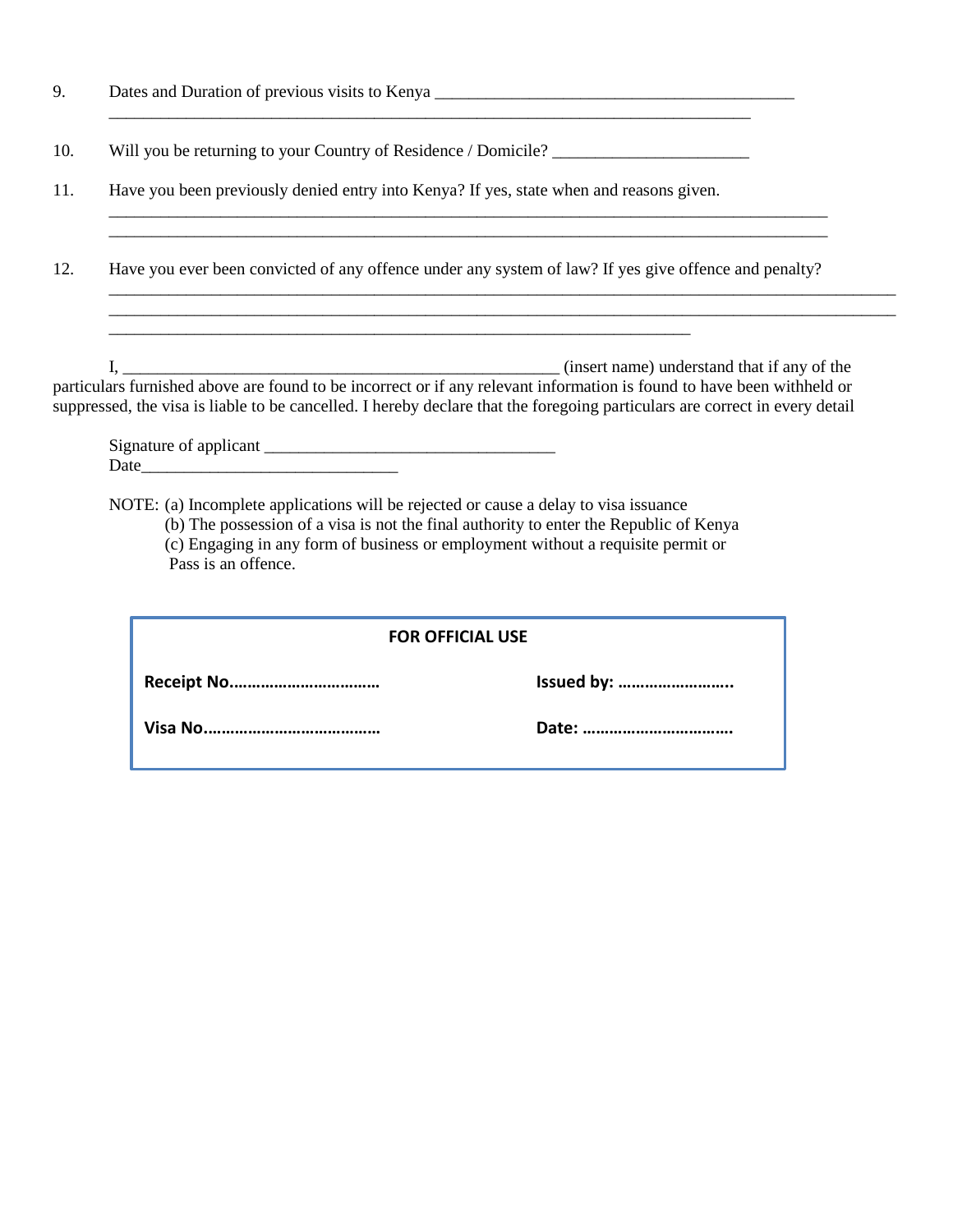| 9.  |                                                                                                                                                                                                                                                       |
|-----|-------------------------------------------------------------------------------------------------------------------------------------------------------------------------------------------------------------------------------------------------------|
| 10. | Will you be returning to your Country of Residence / Domicile?                                                                                                                                                                                        |
| 11. | Have you been previously denied entry into Kenya? If yes, state when and reasons given.                                                                                                                                                               |
| 12. | Have you ever been convicted of any offence under any system of law? If yes give offence and penalty?                                                                                                                                                 |
|     | particulars furnished above are found to be incorrect or if any relevant information is found to have been withheld or<br>suppressed, the visa is liable to be cancelled. I hereby declare that the foregoing particulars are correct in every detail |
|     |                                                                                                                                                                                                                                                       |

NOTE: (a) Incomplete applications will be rejected or cause a delay to visa issuance (b) The possession of a visa is not the final authority to enter the Republic of Kenya (c) Engaging in any form of business or employment without a requisite permit or Pass is an offence.

| <b>FOR OFFICIAL USE</b> |            |  |  |  |
|-------------------------|------------|--|--|--|
|                         | Issued by: |  |  |  |
|                         | Date:      |  |  |  |
|                         |            |  |  |  |